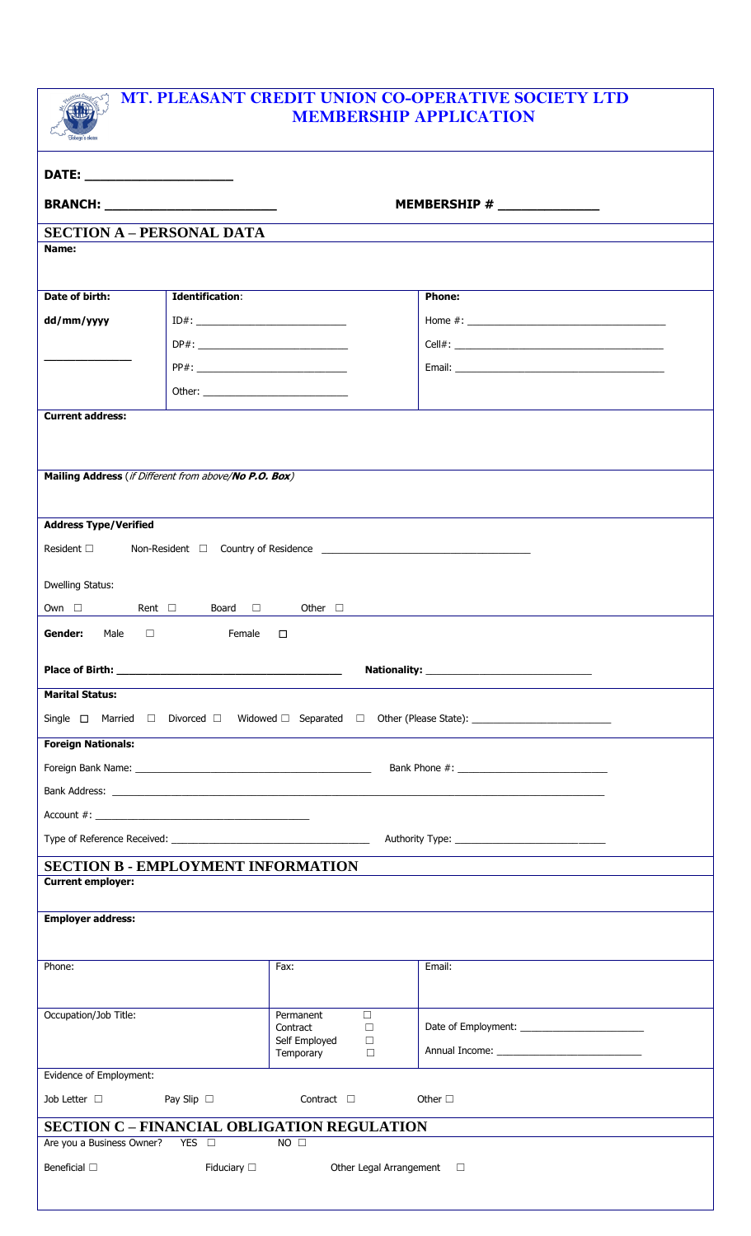

## **MT. PLEASANT CREDIT UNION CO-OPERATIVE SOCIETY LTD MEMBERSHIP APPLICATION**

| DATE: _________________________                                            |                        |                                                |               |                                                                                                     |  |  |  |
|----------------------------------------------------------------------------|------------------------|------------------------------------------------|---------------|-----------------------------------------------------------------------------------------------------|--|--|--|
| MEMBERSHIP # _______________                                               |                        |                                                |               |                                                                                                     |  |  |  |
| <b>SECTION A - PERSONAL DATA</b>                                           |                        |                                                |               |                                                                                                     |  |  |  |
| Name:                                                                      |                        |                                                |               |                                                                                                     |  |  |  |
|                                                                            |                        |                                                |               |                                                                                                     |  |  |  |
| Date of birth:                                                             | <b>Identification:</b> |                                                | <b>Phone:</b> |                                                                                                     |  |  |  |
| dd/mm/yyyy                                                                 | $ID#: ____________$    |                                                |               |                                                                                                     |  |  |  |
|                                                                            |                        |                                                |               |                                                                                                     |  |  |  |
|                                                                            | PP#:                   |                                                |               |                                                                                                     |  |  |  |
|                                                                            |                        |                                                |               |                                                                                                     |  |  |  |
| <b>Current address:</b>                                                    |                        |                                                |               |                                                                                                     |  |  |  |
|                                                                            |                        |                                                |               |                                                                                                     |  |  |  |
|                                                                            |                        |                                                |               |                                                                                                     |  |  |  |
| Mailing Address (if Different from above/No P.O. Box)                      |                        |                                                |               |                                                                                                     |  |  |  |
|                                                                            |                        |                                                |               |                                                                                                     |  |  |  |
| <b>Address Type/Verified</b>                                               |                        |                                                |               |                                                                                                     |  |  |  |
| Resident $\square$                                                         |                        |                                                |               |                                                                                                     |  |  |  |
| <b>Dwelling Status:</b>                                                    |                        |                                                |               |                                                                                                     |  |  |  |
| Own □ Rent □ Board □ Other □                                               |                        |                                                |               |                                                                                                     |  |  |  |
|                                                                            |                        |                                                |               | <u> 1989 - John Stein, Amerikaansk politiker (</u>                                                  |  |  |  |
| Gender: Male $\square$ Female $\square$                                    |                        |                                                |               |                                                                                                     |  |  |  |
|                                                                            |                        |                                                |               |                                                                                                     |  |  |  |
| <b>Marital Status:</b>                                                     |                        |                                                |               |                                                                                                     |  |  |  |
|                                                                            |                        |                                                |               | Single □ Married □ Divorced □ Widowed □ Separated □ Other (Please State): _________________________ |  |  |  |
| <b>Foreign Nationals:</b>                                                  |                        |                                                |               |                                                                                                     |  |  |  |
|                                                                            |                        |                                                |               |                                                                                                     |  |  |  |
|                                                                            |                        |                                                |               |                                                                                                     |  |  |  |
|                                                                            |                        |                                                |               |                                                                                                     |  |  |  |
|                                                                            |                        |                                                |               |                                                                                                     |  |  |  |
| <b>SECTION B - EMPLOYMENT INFORMATION</b>                                  |                        |                                                |               |                                                                                                     |  |  |  |
| <b>Current employer:</b>                                                   |                        |                                                |               |                                                                                                     |  |  |  |
| <b>Employer address:</b>                                                   |                        |                                                |               |                                                                                                     |  |  |  |
|                                                                            |                        |                                                |               |                                                                                                     |  |  |  |
| Phone:                                                                     |                        | Fax:                                           | Email:        |                                                                                                     |  |  |  |
|                                                                            |                        |                                                |               |                                                                                                     |  |  |  |
| Occupation/Job Title:                                                      |                        | Permanent<br>$\Box$                            |               |                                                                                                     |  |  |  |
|                                                                            |                        | Contract<br>$\Box$                             |               |                                                                                                     |  |  |  |
|                                                                            |                        | Self Employed<br>$\Box$<br>Temporary<br>$\Box$ |               | Annual Income: National Annual Income:                                                              |  |  |  |
| Evidence of Employment:                                                    |                        |                                                |               |                                                                                                     |  |  |  |
| Job Letter $\Box$                                                          | Pay Slip $\Box$        | Contract $\Box$                                | Other $\Box$  |                                                                                                     |  |  |  |
| <b>SECTION C - FINANCIAL OBLIGATION REGULATION</b>                         |                        |                                                |               |                                                                                                     |  |  |  |
| Are you a Business Owner? YES □<br>$NO$ $\square$                          |                        |                                                |               |                                                                                                     |  |  |  |
| Beneficial $\Box$<br>Fiduciary $\square$<br>Other Legal Arrangement $\Box$ |                        |                                                |               |                                                                                                     |  |  |  |
|                                                                            |                        |                                                |               |                                                                                                     |  |  |  |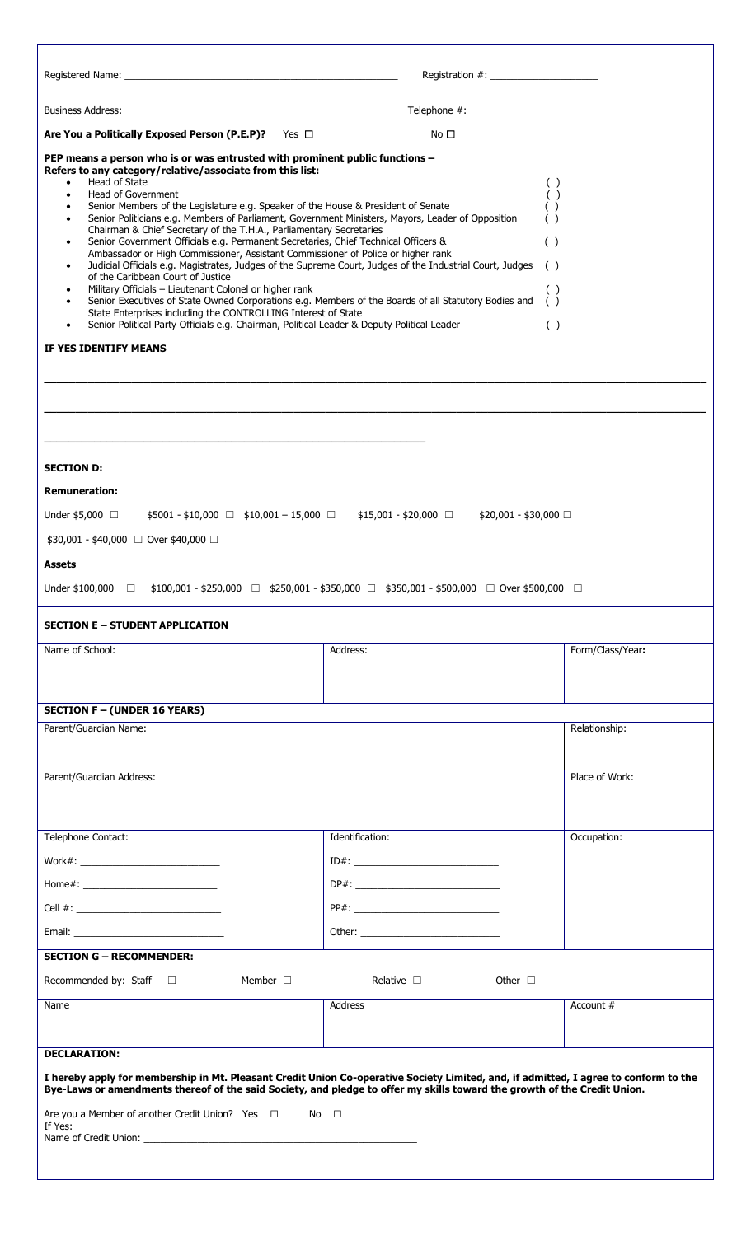| Are You a Politically Exposed Person (P.E.P)? Yes $\Box$                                                                                                                                                                                                                                                                                                                                                                                                                                                                                                                                                                                                                                                                                                                                                                                                                                                                                                                                                                                                                                                                                                                                               | No $\square$                                         |                  |
|--------------------------------------------------------------------------------------------------------------------------------------------------------------------------------------------------------------------------------------------------------------------------------------------------------------------------------------------------------------------------------------------------------------------------------------------------------------------------------------------------------------------------------------------------------------------------------------------------------------------------------------------------------------------------------------------------------------------------------------------------------------------------------------------------------------------------------------------------------------------------------------------------------------------------------------------------------------------------------------------------------------------------------------------------------------------------------------------------------------------------------------------------------------------------------------------------------|------------------------------------------------------|------------------|
| PEP means a person who is or was entrusted with prominent public functions -<br>Refers to any category/relative/associate from this list:<br>Head of State<br>$\bullet$<br>Head of Government<br>$\bullet$<br>Senior Members of the Legislature e.g. Speaker of the House & President of Senate<br>٠<br>Senior Politicians e.g. Members of Parliament, Government Ministers, Mayors, Leader of Opposition<br>$\bullet$<br>Chairman & Chief Secretary of the T.H.A., Parliamentary Secretaries<br>Senior Government Officials e.g. Permanent Secretaries, Chief Technical Officers &<br>٠<br>Ambassador or High Commissioner, Assistant Commissioner of Police or higher rank<br>Judicial Officials e.g. Magistrates, Judges of the Supreme Court, Judges of the Industrial Court, Judges<br>٠<br>of the Caribbean Court of Justice<br>Military Officials - Lieutenant Colonel or higher rank<br>٠<br>Senior Executives of State Owned Corporations e.g. Members of the Boards of all Statutory Bodies and<br>٠<br>State Enterprises including the CONTROLLING Interest of State<br>Senior Political Party Officials e.g. Chairman, Political Leader & Deputy Political Leader<br>IF YES IDENTIFY MEANS | ( )<br>( )<br>( )<br>( )<br>( )<br>( )<br>( )<br>( ) |                  |
|                                                                                                                                                                                                                                                                                                                                                                                                                                                                                                                                                                                                                                                                                                                                                                                                                                                                                                                                                                                                                                                                                                                                                                                                        |                                                      |                  |
|                                                                                                                                                                                                                                                                                                                                                                                                                                                                                                                                                                                                                                                                                                                                                                                                                                                                                                                                                                                                                                                                                                                                                                                                        |                                                      |                  |
|                                                                                                                                                                                                                                                                                                                                                                                                                                                                                                                                                                                                                                                                                                                                                                                                                                                                                                                                                                                                                                                                                                                                                                                                        |                                                      |                  |
|                                                                                                                                                                                                                                                                                                                                                                                                                                                                                                                                                                                                                                                                                                                                                                                                                                                                                                                                                                                                                                                                                                                                                                                                        |                                                      |                  |
| <b>SECTION D:</b>                                                                                                                                                                                                                                                                                                                                                                                                                                                                                                                                                                                                                                                                                                                                                                                                                                                                                                                                                                                                                                                                                                                                                                                      |                                                      |                  |
| <b>Remuneration:</b>                                                                                                                                                                                                                                                                                                                                                                                                                                                                                                                                                                                                                                                                                                                                                                                                                                                                                                                                                                                                                                                                                                                                                                                   |                                                      |                  |
| Under \$5,000 $\Box$ \$5001 - \$10,000 $\Box$ \$10,001 - 15,000 $\Box$ \$15,001 - \$20,000 $\Box$ \$20,001 - \$30,000 $\Box$                                                                                                                                                                                                                                                                                                                                                                                                                                                                                                                                                                                                                                                                                                                                                                                                                                                                                                                                                                                                                                                                           |                                                      |                  |
| \$30,001 - \$40,000 □ Over \$40,000 □                                                                                                                                                                                                                                                                                                                                                                                                                                                                                                                                                                                                                                                                                                                                                                                                                                                                                                                                                                                                                                                                                                                                                                  |                                                      |                  |
| Assets                                                                                                                                                                                                                                                                                                                                                                                                                                                                                                                                                                                                                                                                                                                                                                                                                                                                                                                                                                                                                                                                                                                                                                                                 |                                                      |                  |
| Under \$100,000 $\Box$ \$100,001 - \$250,000 $\Box$ \$250,001 - \$350,000 $\Box$ \$350,001 - \$500,000 $\Box$ Over \$500,000 $\Box$                                                                                                                                                                                                                                                                                                                                                                                                                                                                                                                                                                                                                                                                                                                                                                                                                                                                                                                                                                                                                                                                    |                                                      |                  |
| <b>SECTION E - STUDENT APPLICATION</b>                                                                                                                                                                                                                                                                                                                                                                                                                                                                                                                                                                                                                                                                                                                                                                                                                                                                                                                                                                                                                                                                                                                                                                 |                                                      |                  |
| Name of School:                                                                                                                                                                                                                                                                                                                                                                                                                                                                                                                                                                                                                                                                                                                                                                                                                                                                                                                                                                                                                                                                                                                                                                                        | Address:                                             | Form/Class/Year: |
|                                                                                                                                                                                                                                                                                                                                                                                                                                                                                                                                                                                                                                                                                                                                                                                                                                                                                                                                                                                                                                                                                                                                                                                                        |                                                      |                  |
|                                                                                                                                                                                                                                                                                                                                                                                                                                                                                                                                                                                                                                                                                                                                                                                                                                                                                                                                                                                                                                                                                                                                                                                                        |                                                      |                  |
| <b>SECTION F - (UNDER 16 YEARS)</b><br>Parent/Guardian Name:                                                                                                                                                                                                                                                                                                                                                                                                                                                                                                                                                                                                                                                                                                                                                                                                                                                                                                                                                                                                                                                                                                                                           |                                                      | Relationship:    |
|                                                                                                                                                                                                                                                                                                                                                                                                                                                                                                                                                                                                                                                                                                                                                                                                                                                                                                                                                                                                                                                                                                                                                                                                        |                                                      |                  |
| Parent/Guardian Address:                                                                                                                                                                                                                                                                                                                                                                                                                                                                                                                                                                                                                                                                                                                                                                                                                                                                                                                                                                                                                                                                                                                                                                               |                                                      | Place of Work:   |
|                                                                                                                                                                                                                                                                                                                                                                                                                                                                                                                                                                                                                                                                                                                                                                                                                                                                                                                                                                                                                                                                                                                                                                                                        |                                                      |                  |
|                                                                                                                                                                                                                                                                                                                                                                                                                                                                                                                                                                                                                                                                                                                                                                                                                                                                                                                                                                                                                                                                                                                                                                                                        |                                                      |                  |
| Telephone Contact:                                                                                                                                                                                                                                                                                                                                                                                                                                                                                                                                                                                                                                                                                                                                                                                                                                                                                                                                                                                                                                                                                                                                                                                     | Identification:                                      | Occupation:      |
|                                                                                                                                                                                                                                                                                                                                                                                                                                                                                                                                                                                                                                                                                                                                                                                                                                                                                                                                                                                                                                                                                                                                                                                                        |                                                      |                  |
|                                                                                                                                                                                                                                                                                                                                                                                                                                                                                                                                                                                                                                                                                                                                                                                                                                                                                                                                                                                                                                                                                                                                                                                                        | DP#:                                                 |                  |
|                                                                                                                                                                                                                                                                                                                                                                                                                                                                                                                                                                                                                                                                                                                                                                                                                                                                                                                                                                                                                                                                                                                                                                                                        |                                                      |                  |
| Email: Email: All and the state of the state of the state of the state of the state of the state of the state of the state of the state of the state of the state of the state of the state of the state of the state of the s                                                                                                                                                                                                                                                                                                                                                                                                                                                                                                                                                                                                                                                                                                                                                                                                                                                                                                                                                                         | Other:                                               |                  |
| <b>SECTION G - RECOMMENDER:</b>                                                                                                                                                                                                                                                                                                                                                                                                                                                                                                                                                                                                                                                                                                                                                                                                                                                                                                                                                                                                                                                                                                                                                                        |                                                      |                  |
| Recommended by: Staff $\square$<br>Member $\Box$                                                                                                                                                                                                                                                                                                                                                                                                                                                                                                                                                                                                                                                                                                                                                                                                                                                                                                                                                                                                                                                                                                                                                       | Relative $\Box$<br>Other $\Box$                      |                  |
| Name                                                                                                                                                                                                                                                                                                                                                                                                                                                                                                                                                                                                                                                                                                                                                                                                                                                                                                                                                                                                                                                                                                                                                                                                   | Address                                              | Account #        |
|                                                                                                                                                                                                                                                                                                                                                                                                                                                                                                                                                                                                                                                                                                                                                                                                                                                                                                                                                                                                                                                                                                                                                                                                        |                                                      |                  |
| <b>DECLARATION:</b>                                                                                                                                                                                                                                                                                                                                                                                                                                                                                                                                                                                                                                                                                                                                                                                                                                                                                                                                                                                                                                                                                                                                                                                    |                                                      |                  |
| I hereby apply for membership in Mt. Pleasant Credit Union Co-operative Society Limited, and, if admitted, I agree to conform to the<br>Bye-Laws or amendments thereof of the said Society, and pledge to offer my skills toward the growth of the Credit Union.                                                                                                                                                                                                                                                                                                                                                                                                                                                                                                                                                                                                                                                                                                                                                                                                                                                                                                                                       |                                                      |                  |
| Are you a Member of another Credit Union? Yes $\Box$                                                                                                                                                                                                                                                                                                                                                                                                                                                                                                                                                                                                                                                                                                                                                                                                                                                                                                                                                                                                                                                                                                                                                   | $No$ $\Box$                                          |                  |